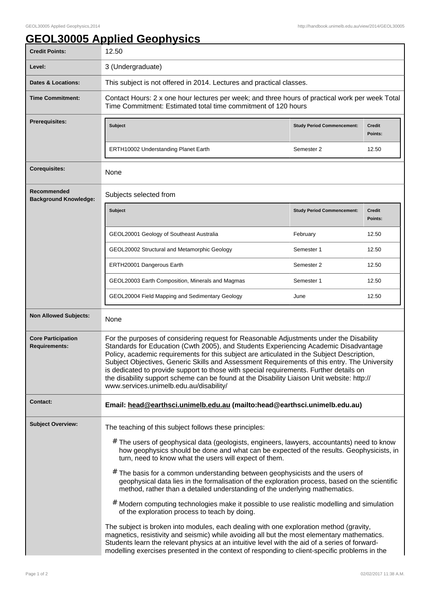## **GEOL30005 Applied Geophysics**

| <b>Credit Points:</b>                             | 12.50                                                                                                                                                                                                                                                                                                                                                                                                                                                                                                                                                                                                                                                                                                                                                                                                                                                                                                                                                                                                                                                                                                                       |                                   |                          |  |
|---------------------------------------------------|-----------------------------------------------------------------------------------------------------------------------------------------------------------------------------------------------------------------------------------------------------------------------------------------------------------------------------------------------------------------------------------------------------------------------------------------------------------------------------------------------------------------------------------------------------------------------------------------------------------------------------------------------------------------------------------------------------------------------------------------------------------------------------------------------------------------------------------------------------------------------------------------------------------------------------------------------------------------------------------------------------------------------------------------------------------------------------------------------------------------------------|-----------------------------------|--------------------------|--|
| Level:                                            | 3 (Undergraduate)                                                                                                                                                                                                                                                                                                                                                                                                                                                                                                                                                                                                                                                                                                                                                                                                                                                                                                                                                                                                                                                                                                           |                                   |                          |  |
| <b>Dates &amp; Locations:</b>                     | This subject is not offered in 2014. Lectures and practical classes.                                                                                                                                                                                                                                                                                                                                                                                                                                                                                                                                                                                                                                                                                                                                                                                                                                                                                                                                                                                                                                                        |                                   |                          |  |
| <b>Time Commitment:</b>                           | Contact Hours: 2 x one hour lectures per week; and three hours of practical work per week Total<br>Time Commitment: Estimated total time commitment of 120 hours                                                                                                                                                                                                                                                                                                                                                                                                                                                                                                                                                                                                                                                                                                                                                                                                                                                                                                                                                            |                                   |                          |  |
| <b>Prerequisites:</b>                             | Subject                                                                                                                                                                                                                                                                                                                                                                                                                                                                                                                                                                                                                                                                                                                                                                                                                                                                                                                                                                                                                                                                                                                     | <b>Study Period Commencement:</b> | <b>Credit</b><br>Points: |  |
|                                                   | <b>ERTH10002 Understanding Planet Earth</b>                                                                                                                                                                                                                                                                                                                                                                                                                                                                                                                                                                                                                                                                                                                                                                                                                                                                                                                                                                                                                                                                                 | Semester 2                        | 12.50                    |  |
| <b>Corequisites:</b>                              | None                                                                                                                                                                                                                                                                                                                                                                                                                                                                                                                                                                                                                                                                                                                                                                                                                                                                                                                                                                                                                                                                                                                        |                                   |                          |  |
| Recommended<br><b>Background Knowledge:</b>       | Subjects selected from                                                                                                                                                                                                                                                                                                                                                                                                                                                                                                                                                                                                                                                                                                                                                                                                                                                                                                                                                                                                                                                                                                      |                                   |                          |  |
|                                                   | Subject                                                                                                                                                                                                                                                                                                                                                                                                                                                                                                                                                                                                                                                                                                                                                                                                                                                                                                                                                                                                                                                                                                                     | <b>Study Period Commencement:</b> | <b>Credit</b><br>Points: |  |
|                                                   | GEOL20001 Geology of Southeast Australia                                                                                                                                                                                                                                                                                                                                                                                                                                                                                                                                                                                                                                                                                                                                                                                                                                                                                                                                                                                                                                                                                    | February                          | 12.50                    |  |
|                                                   | GEOL20002 Structural and Metamorphic Geology                                                                                                                                                                                                                                                                                                                                                                                                                                                                                                                                                                                                                                                                                                                                                                                                                                                                                                                                                                                                                                                                                | Semester 1                        | 12.50                    |  |
|                                                   | ERTH20001 Dangerous Earth                                                                                                                                                                                                                                                                                                                                                                                                                                                                                                                                                                                                                                                                                                                                                                                                                                                                                                                                                                                                                                                                                                   | Semester 2                        | 12.50                    |  |
|                                                   | GEOL20003 Earth Composition, Minerals and Magmas                                                                                                                                                                                                                                                                                                                                                                                                                                                                                                                                                                                                                                                                                                                                                                                                                                                                                                                                                                                                                                                                            | Semester 1                        | 12.50                    |  |
|                                                   | GEOL20004 Field Mapping and Sedimentary Geology                                                                                                                                                                                                                                                                                                                                                                                                                                                                                                                                                                                                                                                                                                                                                                                                                                                                                                                                                                                                                                                                             | June                              | 12.50                    |  |
| <b>Non Allowed Subjects:</b>                      | None                                                                                                                                                                                                                                                                                                                                                                                                                                                                                                                                                                                                                                                                                                                                                                                                                                                                                                                                                                                                                                                                                                                        |                                   |                          |  |
| <b>Core Participation</b><br><b>Requirements:</b> | For the purposes of considering request for Reasonable Adjustments under the Disability<br>Standards for Education (Cwth 2005), and Students Experiencing Academic Disadvantage<br>Policy, academic requirements for this subject are articulated in the Subject Description,<br>Subject Objectives, Generic Skills and Assessment Requirements of this entry. The University<br>is dedicated to provide support to those with special requirements. Further details on<br>the disability support scheme can be found at the Disability Liaison Unit website: http://<br>www.services.unimelb.edu.au/disability/                                                                                                                                                                                                                                                                                                                                                                                                                                                                                                            |                                   |                          |  |
| <b>Contact:</b>                                   | Email: head@earthsci.unimelb.edu.au (mailto:head@earthsci.unimelb.edu.au)                                                                                                                                                                                                                                                                                                                                                                                                                                                                                                                                                                                                                                                                                                                                                                                                                                                                                                                                                                                                                                                   |                                   |                          |  |
| <b>Subject Overview:</b>                          | The teaching of this subject follows these principles:<br>$#$ The users of geophysical data (geologists, engineers, lawyers, accountants) need to know<br>how geophysics should be done and what can be expected of the results. Geophysicists, in<br>turn, need to know what the users will expect of them.<br>$#$ The basis for a common understanding between geophysicists and the users of<br>geophysical data lies in the formalisation of the exploration process, based on the scientific<br>method, rather than a detailed understanding of the underlying mathematics.<br># Modern computing technologies make it possible to use realistic modelling and simulation<br>of the exploration process to teach by doing.<br>The subject is broken into modules, each dealing with one exploration method (gravity,<br>magnetics, resistivity and seismic) while avoiding all but the most elementary mathematics.<br>Students learn the relevant physics at an intuitive level with the aid of a series of forward-<br>modelling exercises presented in the context of responding to client-specific problems in the |                                   |                          |  |